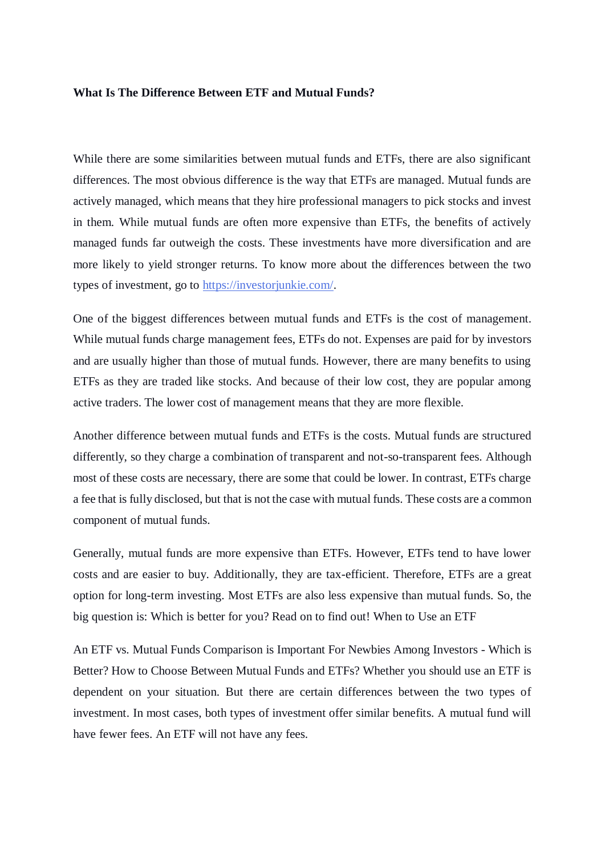## **What Is The Difference Between ETF and Mutual Funds?**

While there are some similarities between mutual funds and ETFs, there are also significant differences. The most obvious difference is the way that ETFs are managed. Mutual funds are actively managed, which means that they hire professional managers to pick stocks and invest in them. While mutual funds are often more expensive than ETFs, the benefits of actively managed funds far outweigh the costs. These investments have more diversification and are more likely to yield stronger returns. To know more about the differences between the two types of investment, go to [https://investorjunkie.com/.](https://investorjunkie.com/)

One of the biggest differences between mutual funds and ETFs is the cost of management. While mutual funds charge management fees, ETFs do not. Expenses are paid for by investors and are usually higher than those of mutual funds. However, there are many benefits to using ETFs as they are traded like stocks. And because of their low cost, they are popular among active traders. The lower cost of management means that they are more flexible.

Another difference between mutual funds and ETFs is the costs. Mutual funds are structured differently, so they charge a combination of transparent and not-so-transparent fees. Although most of these costs are necessary, there are some that could be lower. In contrast, ETFs charge a fee that is fully disclosed, but that is not the case with mutual funds. These costs are a common component of mutual funds.

Generally, mutual funds are more expensive than ETFs. However, ETFs tend to have lower costs and are easier to buy. Additionally, they are tax-efficient. Therefore, ETFs are a great option for long-term investing. Most ETFs are also less expensive than mutual funds. So, the big question is: Which is better for you? Read on to find out! When to Use an ETF

An ETF vs. Mutual Funds Comparison is Important For Newbies Among Investors - Which is Better? How to Choose Between Mutual Funds and ETFs? Whether you should use an ETF is dependent on your situation. But there are certain differences between the two types of investment. In most cases, both types of investment offer similar benefits. A mutual fund will have fewer fees. An ETF will not have any fees.